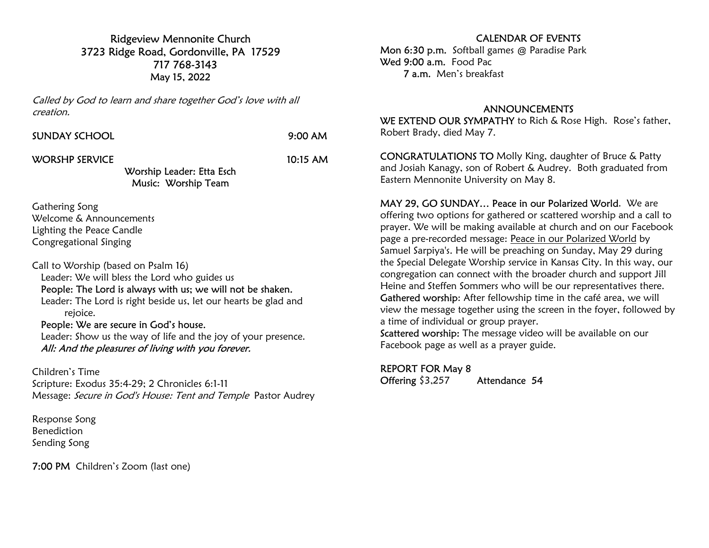Ridgeview Mennonite Church 3723 Ridge Road, Gordonville, PA 17529 717 768-3143 May 15, 2022

Called by God to learn and share together God's love with all creation.

 $9:00$  AM

WORSHP SERVICE 10:15 AM

Worship Leader: Etta Esch Music: Worship Team

Gathering Song Welcome & Announcements Lighting the Peace Candle Congregational Singing

Call to Worship (based on Psalm 16) Leader: We will bless the Lord who guides us People: The Lord is always with us; we will not be shaken. Leader: The Lord is right beside us, let our hearts be glad and rejoice. People: We are secure in God's house.

 Leader: Show us the way of life and the joy of your presence. All: And the pleasures of living with you forever.

Children's Time Scripture: Exodus 35:4-29; 2 Chronicles 6:1-11 Message: Secure in God's House: Tent and Temple Pastor Audrey

Response Song Benediction Sending Song

7:00 PM Children's Zoom (last one)

## CALENDAR OF EVENTS

Mon 6:30 p.m. Softball games @ Paradise Park Wed 9:00 a.m. Food Pac 7 a.m. Men's breakfast

## ANNOUNCEMENTS

WE EXTEND OUR SYMPATHY to Rich & Rose High. Rose's father, Robert Brady, died May 7.

CONGRATULATIONS TO Molly King, daughter of Bruce & Patty and Josiah Kanagy, son of Robert & Audrey. Both graduated from Eastern Mennonite University on May 8.

MAY 29, GO SUNDAY… Peace in our Polarized World. We are offering two options for gathered or scattered worship and a call to prayer. We will be making available at church and on our Facebook page a pre-recorded message: Peace in our Polarized World by Samuel Sarpiya's. He will be preaching on Sunday, May 29 during the Special Delegate Worship service in Kansas City. In this way, our congregation can connect with the broader church and support Jill Heine and Steffen Sommers who will be our representatives there. Gathered worship: After fellowship time in the café area, we will view the message together using the screen in the foyer, followed by a time of individual or group prayer.

Scattered worship: The message video will be available on our Facebook page as well as a prayer guide.

## REPORT FOR May 8

Offering \$3,257 Attendance 54